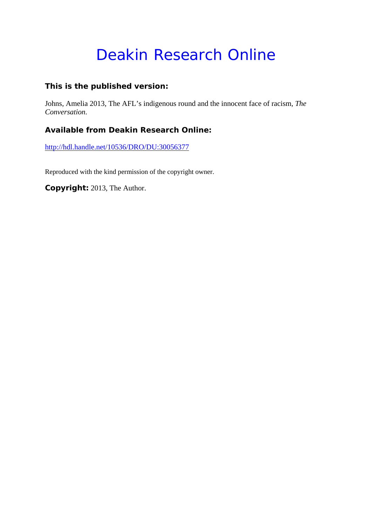# Deakin Research Online

### **This is the published version:**

Johns, Amelia 2013, The AFL's indigenous round and the innocent face of racism*, The Conversation*.

## **Available from Deakin Research Online:**

http://hdl.handle.net/10536/DRO/DU:30056377

Reproduced with the kind permission of the copyright owner.

**Copyright:** 2013, The Author.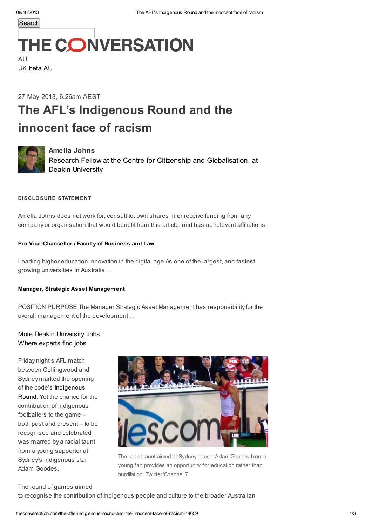**Search** 

# **THE CONVERSATION**

AU UK [beta](http://theconversation.com/uk) [AU](http://theconversation.com/au)

## 27 May 2013, 6.26am AEST The AFL's Indigenous Round and the innocent face of racism



#### Amelia Johns

Research Fellow at the Centre for Citizenship and [Globalisation.](http://theconversation.com/profiles/amelia-johns-90632) at Deakin University

#### DISCLOSURE STATEMENT

Amelia Johns does not work for, consult to, own shares in or receive funding from any company or organisation that would benefit from this article, and has no relevant affiliations.

#### Pro [Vice-Chancellor](http://jobs.theconversation.edu.au/jobs/5598-pro-vice-chancellor-faculty-of-business-and-law?utm_source=theconversation.com&utm_medium=website&utm_campaign=article) / Faculty of Business and Law

Leading higher education innovation in the digital age As one of the largest, and fastest growing universities in Australia…

#### Manager, Strategic Asset [Management](http://jobs.theconversation.edu.au/jobs/5424-manager-strategic-asset-management?utm_source=theconversation.com&utm_medium=website&utm_campaign=article)

POSITION PURPOSE The Manager Strategic Asset Management has responsibility for the overall management of the development…

#### More Deakin [University](http://jobs.theconversation.edu.au/search/organisations/deakin-university?utm_campaign=article&utm_medium=website&utm_source=theconversation.com) Jobs Where experts find jobs

Friday night's AFL match between Collingwood and Sydney marked the opening of the code's [Indigenous](http://www.afl.com.au/indigenousround) Round. Yet the chance for the contribution of Indigenous footballers to the game – both past and present – to be recognised and celebrated was marred by a racial taunt from a young supporter at Sydney's Indigenous star Adam Goodes.



The racist taunt aimed at Sydney player Adam Goodes from a young fan provides an opportunity for education rather than humiliation. Tw itter/Channel 7

The round of games aimed

to recognise the contribution of Indigenous people and culture to the broader Australian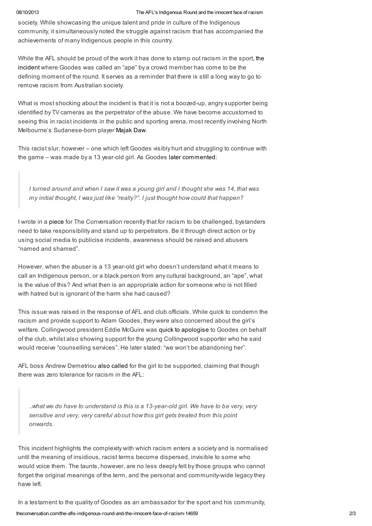#### 08/10/2013 The AFL's Indigenous Round and the innocent face of racism

society. While showcasing the unique talent and pride in culture of the Indigenous community, it simultaneously noted the struggle against racism that has accompanied the achievements of many Indigenous people in this country.

While the AFL should be proud of the work it has done to stamp out racism in the sport, the incident where Goodes was called an "ape" by a crowd [member](http://www.news.com.au/sport/afl/adam-goodes-gutted-after-13-year-old-girls-racial-slur-who-called-the-sydney-champion-today-to-apologise/story-fndv8ujy-1226650256245) has come to be the defining moment of the round. It serves as a reminder that there is still a long way to go to remove racism from Australian society.

What is most shocking about the incident is that it is not a boozed-up, angry supporter being identified by TV cameras as the perpetrator of the abuse. We have become accustomed to seeing this in racist incidents in the public and sporting arena, most recently involving North Melbourne's Sudanese-born player [Majak](http://www.abc.net.au/news/2013-05-13/majak-daw-allegedly-subjected-to-rascist-abuse/4684880) Daw.

This racist slur, however – one which left Goodes visibly hurt and struggling to continue with the game – was made by a 13 year-old girl. As Goodes later [commented](http://www.news.com.au/sport/afl/adam-goodes-full-racism-press-conference-transcript/story-fndv8ujy-1226650424034):

I turned around and when I saw it was a young girl and I thought she was 14, that was my initial thought, I was just like "really?". I just thought how could that happen?

I wrote in a [piece](https://theconversation.com/racism-in-public-why-the-majority-will-be-silent-no-longer-13484) for The Conversation recently that for racism to be challenged, bystanders need to take responsibility and stand up to perpetrators. Be it through direct action or by using social media to publicise incidents, awareness should be raised and abusers "named and shamed".

However, when the abuser is a 13 year-old girl who doesn't understand what it means to call an Indigenous person, or a black person from any cultural background, an "ape", what is the value of this? And what then is an appropriate action for someone who is not filled with hatred but is ignorant of the harm she had caused?

This issue was raised in the response of AFL and club officials. While quick to condemn the racism and provide support to Adam Goodes, they were also concerned about the girl's welfare. Collingwood president Eddie McGuire was quick to [apologise](http://www.news.com.au/breaking-news/afl-community-rallies-around-adam-goodes-in-wake-of-racial-abuse-from-a-young-collingwood-fan/story-e6frfkp9-1226650266697) to Goodes on behalf of the club, whilst also showing support for the young Collingwood supporter who he said would receive "counselling services". He later stated: "we won't be abandoning her".

AFL boss Andrew Demetriou also [called](http://www.theage.com.au/afl/afl-news/demetriou-rules-on-racial-abuse-20130525-2n3yn.html) for the girl to be supported, claiming that though there was zero tolerance for racism in the AFL:

..what we do have to understand is this is a 13-year-old girl. We have to be very, very sensitive and very, very careful about how this girl gets treated from this point onwards.

This incident highlights the complexity with which racism enters a society and is normalised until the meaning of insidious, racist terms become dispersed, invisible to some who would voice them. The taunts, however, are no less deeply felt by those groups who cannot forget the original meanings of the term, and the personal and community-wide legacy they have left.

In a testament to the quality of Goodes as an ambassador for the sport and his community,